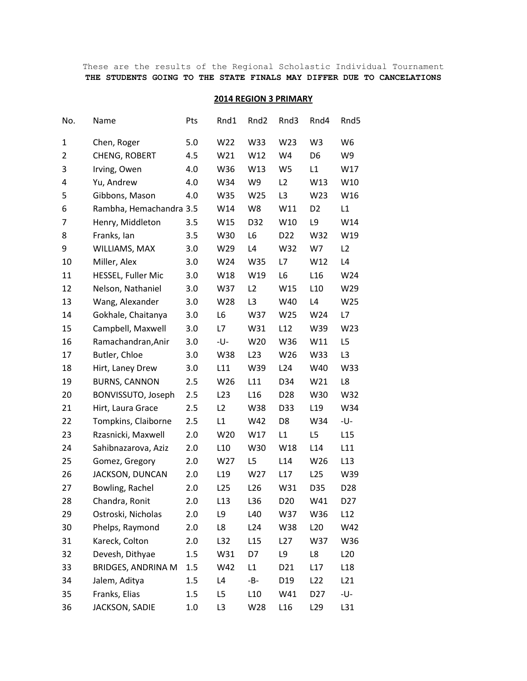## These are the results of the Regional Scholastic Individual Tournament **THE STUDENTS GOING TO THE STATE FINALS MAY DIFFER DUE TO CANCELATIONS**

### **2014 REGION 3 PRIMARY**

| No. | Name                      | Pts | Rnd1            | Rnd <sub>2</sub> | Rnd3            | Rnd4            | Rnd5            |
|-----|---------------------------|-----|-----------------|------------------|-----------------|-----------------|-----------------|
| 1   | Chen, Roger               | 5.0 | W22             | W33              | W23             | W <sub>3</sub>  | W <sub>6</sub>  |
| 2   | CHENG, ROBERT             | 4.5 | W21             | W12              | W4              | D <sub>6</sub>  | W9              |
| 3   | Irving, Owen              | 4.0 | W36             | W13              | W <sub>5</sub>  | L1              | W17             |
| 4   | Yu, Andrew                | 4.0 | W34             | W9               | L <sub>2</sub>  | W13             | W10             |
| 5   | Gibbons, Mason            | 4.0 | W35             | W25              | L <sub>3</sub>  | W23             | W16             |
| 6   | Rambha, Hemachandra 3.5   |     | W14             | W8               | W11             | D <sub>2</sub>  | L1              |
| 7   | Henry, Middleton          | 3.5 | W15             | D32              | W10             | L9              | W14             |
| 8   | Franks, Ian               | 3.5 | W30             | L <sub>6</sub>   | D <sub>22</sub> | W32             | W19             |
| 9   | WILLIAMS, MAX             | 3.0 | W29             | L4               | W32             | W7              | L2              |
| 10  | Miller, Alex              | 3.0 | W24             | W35              | L7              | W12             | L4              |
| 11  | HESSEL, Fuller Mic        | 3.0 | W18             | W19              | L <sub>6</sub>  | L <sub>16</sub> | W24             |
| 12  | Nelson, Nathaniel         | 3.0 | W37             | L2               | W15             | L10             | W29             |
| 13  | Wang, Alexander           | 3.0 | W28             | L <sub>3</sub>   | W40             | L4              | W25             |
| 14  | Gokhale, Chaitanya        | 3.0 | L6              | W37              | W25             | W24             | L7              |
| 15  | Campbell, Maxwell         | 3.0 | L7              | W31              | L12             | W39             | W23             |
| 16  | Ramachandran, Anir        | 3.0 | -U-             | W20              | W36             | W11             | L5              |
| 17  | Butler, Chloe             | 3.0 | W38             | L23              | W26             | W33             | L <sub>3</sub>  |
| 18  | Hirt, Laney Drew          | 3.0 | L11             | W39              | L24             | W40             | W33             |
| 19  | <b>BURNS, CANNON</b>      | 2.5 | W26             | L11              | D34             | W21             | L8              |
| 20  | BONVISSUTO, Joseph        | 2.5 | L23             | L <sub>16</sub>  | D <sub>28</sub> | W30             | W32             |
| 21  | Hirt, Laura Grace         | 2.5 | L2              | W38              | D33             | L <sub>19</sub> | W34             |
| 22  | Tompkins, Claiborne       | 2.5 | L1              | W42              | D <sub>8</sub>  | W34             | -U-             |
| 23  | Rzasnicki, Maxwell        | 2.0 | W20             | W17              | L1              | L5              | L15             |
| 24  | Sahibnazarova, Aziz       | 2.0 | L10             | W30              | W18             | L14             | L11             |
| 25  | Gomez, Gregory            | 2.0 | W27             | L <sub>5</sub>   | L14             | W26             | L13             |
| 26  | JACKSON, DUNCAN           | 2.0 | L <sub>19</sub> | W27              | L17             | L25             | W39             |
| 27  | Bowling, Rachel           | 2.0 | L <sub>25</sub> | L26              | W31             | D35             | D28             |
| 28  | Chandra, Ronit            | 2.0 | L13             | L36              | D <sub>20</sub> | W41             | D <sub>27</sub> |
| 29  | Ostroski, Nicholas        | 2.0 | L9              | L40              | W37             | W36             | L12             |
| 30  | Phelps, Raymond           | 2.0 | L8              | L24              | W38             | L20             | W42             |
| 31  | Kareck, Colton            | 2.0 | L32             | L15              | L27             | W37             | W36             |
| 32  | Devesh, Dithyae           | 1.5 | W31             | D7               | L9              | L8              | L20             |
| 33  | <b>BRIDGES, ANDRINA M</b> | 1.5 | W42             | L1               | D21             | L17             | L <sub>18</sub> |
| 34  | Jalem, Aditya             | 1.5 | L4              | -B-              | D19             | L <sub>22</sub> | L21             |
| 35  | Franks, Elias             | 1.5 | L5              | L10              | W41             | D <sub>27</sub> | -U-             |
| 36  | JACKSON, SADIE            | 1.0 | L <sub>3</sub>  | W28              | L16             | L <sub>29</sub> | L31             |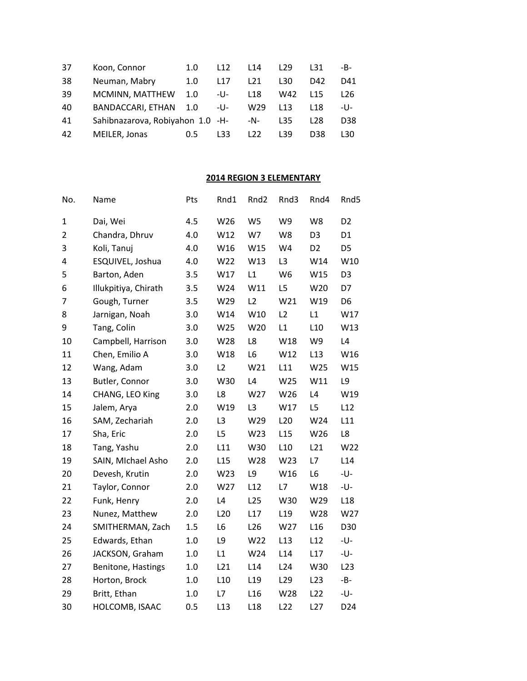| 37 | Koon, Connor                     | 1.0           | L <sub>12</sub> | L <sub>14</sub> | L <sub>29</sub> | L31             | -B-             |
|----|----------------------------------|---------------|-----------------|-----------------|-----------------|-----------------|-----------------|
| 38 | Neuman, Mabry                    | 1.0           | L17             | L <sub>21</sub> | L30.            | D42             | D41             |
| 39 | MCMINN, MATTHEW                  | 1.0           | -U-             | L18             | W42             | L <sub>15</sub> | L26.            |
| 40 | <b>BANDACCARI, ETHAN</b>         | $-1.0$        | -U-             | W29             | L13             | L <sub>18</sub> | -U-             |
| 41 | Sahibnazarova, Robiyahon 1.0 -H- |               |                 | -N-             | L35             | L <sub>28</sub> | D <sub>38</sub> |
| 42 | MEILER, Jonas                    | $0.5^{\circ}$ | L33             | L22             | L39             | D38             | 130             |

# **2014 REGION 3 ELEMENTARY**

| No.            | Name                 | Pts     | Rnd1            | Rnd <sub>2</sub> | Rnd3            | Rnd4            | Rnd5           |
|----------------|----------------------|---------|-----------------|------------------|-----------------|-----------------|----------------|
| 1              | Dai, Wei             | 4.5     | W26             | W <sub>5</sub>   | W9              | W8              | D <sub>2</sub> |
| $\overline{2}$ | Chandra, Dhruv       | 4.0     | W12             | W7               | W8              | D <sub>3</sub>  | D <sub>1</sub> |
| 3              | Koli, Tanuj          | 4.0     | W16             | W15              | W4              | D <sub>2</sub>  | D5             |
| 4              | ESQUIVEL, Joshua     | 4.0     | W22             | W13              | L <sub>3</sub>  | W14             | W10            |
| 5              | Barton, Aden         | 3.5     | W17             | L1               | W <sub>6</sub>  | W15             | D <sub>3</sub> |
| 6              | Illukpitiya, Chirath | 3.5     | W24             | W11              | L5              | W20             | D7             |
| 7              | Gough, Turner        | 3.5     | W29             | L2               | W21             | W19             | D <sub>6</sub> |
| 8              | Jarnigan, Noah       | 3.0     | W14             | W10              | L2              | L1              | W17            |
| 9              | Tang, Colin          | 3.0     | W25             | W20              | L1              | L10             | W13            |
| 10             | Campbell, Harrison   | 3.0     | W28             | L8               | W18             | W9              | L4             |
| 11             | Chen, Emilio A       | 3.0     | W18             | L6               | W12             | L13             | W16            |
| 12             | Wang, Adam           | 3.0     | L2              | W21              | L11             | W25             | W15            |
| 13             | Butler, Connor       | 3.0     | W30             | L4               | W25             | W11             | L9             |
| 14             | CHANG, LEO King      | 3.0     | L8              | W27              | W26             | L4              | W19            |
| 15             | Jalem, Arya          | 2.0     | W19             | L <sub>3</sub>   | W17             | L <sub>5</sub>  | L12            |
| 16             | SAM, Zechariah       | 2.0     | L <sub>3</sub>  | W29              | L20             | W24             | L11            |
| 17             | Sha, Eric            | 2.0     | L5              | W23              | L15             | W26             | L8             |
| 18             | Tang, Yashu          | 2.0     | L11             | W30              | L10             | L21             | W22            |
| 19             | SAIN, MIchael Asho   | 2.0     | L15             | W28              | W23             | L7              | L14            |
| 20             | Devesh, Krutin       | 2.0     | W23             | L9               | W16             | L6              | -U-            |
| 21             | Taylor, Connor       | 2.0     | W27             | L12              | L7              | W18             | -U-            |
| 22             | Funk, Henry          | 2.0     | L4              | L25              | W30             | W29             | L18            |
| 23             | Nunez, Matthew       | 2.0     | L <sub>20</sub> | L17              | L <sub>19</sub> | W28             | W27            |
| 24             | SMITHERMAN, Zach     | 1.5     | L6              | L <sub>26</sub>  | W27             | L16             | D30            |
| 25             | Edwards, Ethan       | $1.0\,$ | L9              | W22              | L13             | L12             | -U-            |
| 26             | JACKSON, Graham      | 1.0     | L1              | W24              | L14             | L17             | -U-            |
| 27             | Benitone, Hastings   | 1.0     | L21             | L14              | L24             | W30             | L23            |
| 28             | Horton, Brock        | 1.0     | L10             | L <sub>19</sub>  | L <sub>29</sub> | L23             | $-B-$          |
| 29             | Britt, Ethan         | 1.0     | L7              | L <sub>16</sub>  | W28             | L <sub>22</sub> | -U-            |
| 30             | HOLCOMB, ISAAC       | 0.5     | L13             | L <sub>18</sub>  | L22             | L27             | D24            |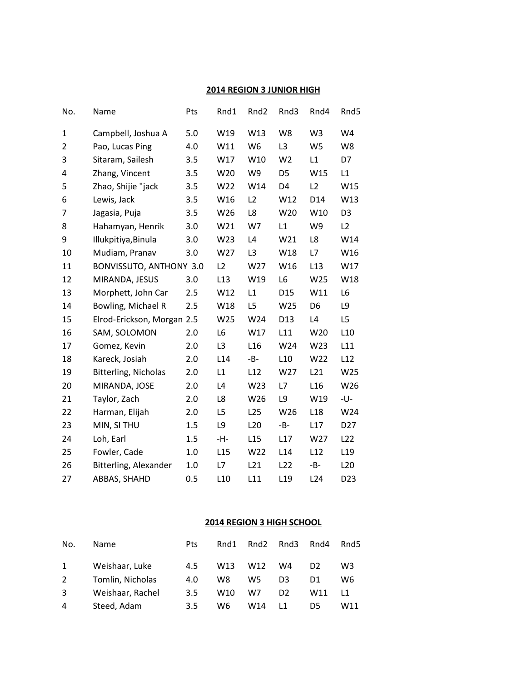## **2014 REGION 3 JUNIOR HIGH**

| No.            | Name                        | Pts     | Rnd1           | Rnd <sub>2</sub> | Rnd3            | Rnd4            | Rnd5            |
|----------------|-----------------------------|---------|----------------|------------------|-----------------|-----------------|-----------------|
| 1              | Campbell, Joshua A          | 5.0     | W19            | W13              | W8              | W <sub>3</sub>  | W4              |
| $\overline{2}$ | Pao, Lucas Ping             | 4.0     | W11            | W <sub>6</sub>   | L3              | W <sub>5</sub>  | W8              |
| 3              | Sitaram, Sailesh            | 3.5     | W17            | W10              | W <sub>2</sub>  | L1              | D7              |
| 4              | Zhang, Vincent              | 3.5     | W20            | W9               | D <sub>5</sub>  | W15             | L1              |
| 5              | Zhao, Shijie "jack          | 3.5     | W22            | W14              | D <sub>4</sub>  | L2              | W15             |
| 6              | Lewis, Jack                 | 3.5     | W16            | L2               | W12             | D14             | W13             |
| 7              | Jagasia, Puja               | 3.5     | W26            | L8               | W <sub>20</sub> | W10             | D <sub>3</sub>  |
| 8              | Hahamyan, Henrik            | 3.0     | W21            | W7               | L1              | W9              | L2              |
| 9              | Illukpitiya, Binula         | 3.0     | W23            | L4               | W21             | L8              | W14             |
| 10             | Mudiam, Pranav              | 3.0     | W27            | L3               | W18             | L7              | W16             |
| 11             | BONVISSUTO, ANTHONY 3.0     |         | L2             | W27              | W16             | L13             | W17             |
| 12             | MIRANDA, JESUS              | 3.0     | L13            | W19              | L6              | W25             | W18             |
| 13             | Morphett, John Car          | 2.5     | W12            | L1               | D <sub>15</sub> | W11             | L <sub>6</sub>  |
| 14             | Bowling, Michael R          | 2.5     | W18            | L5               | W25             | D <sub>6</sub>  | L9              |
| 15             | Elrod-Erickson, Morgan 2.5  |         | W25            | W24              | D <sub>13</sub> | L4              | L5              |
| 16             | SAM, SOLOMON                | 2.0     | L <sub>6</sub> | W17              | L11             | W20             | L10             |
| 17             | Gomez, Kevin                | 2.0     | L <sub>3</sub> | L <sub>16</sub>  | W24             | W23             | L11             |
| 18             | Kareck, Josiah              | 2.0     | L14            | $-B-$            | L10             | W22             | L12             |
| 19             | <b>Bitterling, Nicholas</b> | 2.0     | L1             | L12              | W27             | L21             | W25             |
| 20             | MIRANDA, JOSE               | 2.0     | L4             | W23              | L7              | L16             | W26             |
| 21             | Taylor, Zach                | 2.0     | L8             | W26              | L9              | W19             | -U-             |
| 22             | Harman, Elijah              | 2.0     | L5             | L25              | W26             | L <sub>18</sub> | W24             |
| 23             | MIN, SI THU                 | 1.5     | L9             | L20              | $-B-$           | L17             | D <sub>27</sub> |
| 24             | Loh, Earl                   | 1.5     | -H-            | L15              | L17             | W27             | L <sub>22</sub> |
| 25             | Fowler, Cade                | 1.0     | L15            | W22              | L14             | L12             | L <sub>19</sub> |
| 26             | Bitterling, Alexander       | $1.0\,$ | L7             | L21              | L22             | $-B-$           | L <sub>20</sub> |
| 27             | ABBAS, SHAHD                | 0.5     | L10            | L11              | L <sub>19</sub> | L24             | D <sub>23</sub> |

### **2014 REGION 3 HIGH SCHOOL**

| No.          | <b>Name</b>      | Pts | Rnd1            | Rnd <sub>2</sub> | Rnd3           | Rnd4           | Rnd5 |
|--------------|------------------|-----|-----------------|------------------|----------------|----------------|------|
| $\mathbf{1}$ | Weishaar, Luke   | 4.5 | W <sub>13</sub> | W12              | W4             | D <sub>2</sub> | W3   |
| 2            | Tomlin, Nicholas | 4.0 | W8              | W5.              | D3             | D1             | W6.  |
| 3            | Weishaar, Rachel | 3.5 | W <sub>10</sub> | W7               | D <sub>2</sub> | W11            |      |
| 4            | Steed, Adam      | 3.5 | W6              | W14              |                | D5             | W11  |